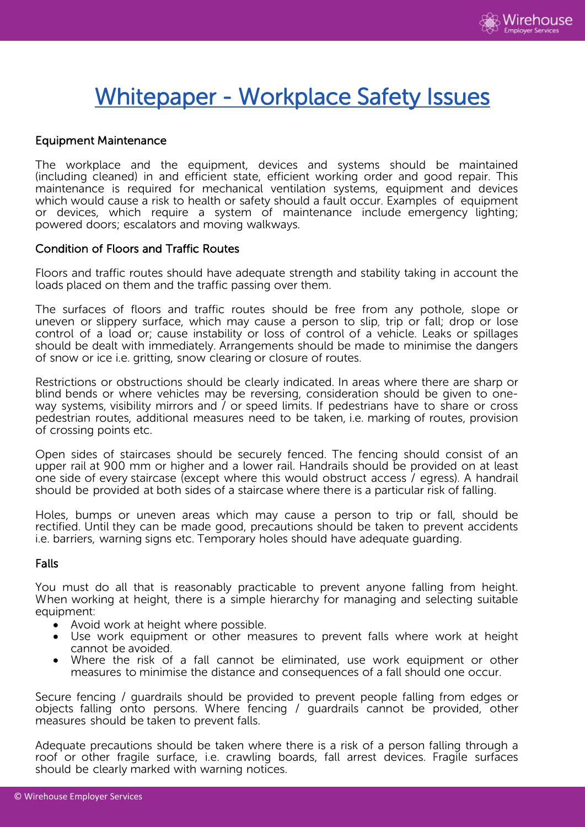

# Whitepaper - Workplace Safety Issues

## Equipment Maintenance

The workplace and the equipment, devices and systems should be maintained (including cleaned) in and efficient state, efficient working order and good repair. This maintenance is required for mechanical ventilation systems, equipment and devices which would cause a risk to health or safety should a fault occur. Examples of equipment or devices, which require a system of maintenance include emergency lighting; powered doors; escalators and moving walkways.

#### Condition of Floors and Traffic Routes

Floors and traffic routes should have adequate strength and stability taking in account the loads placed on them and the traffic passing over them.

The surfaces of floors and traffic routes should be free from any pothole, slope or uneven or slippery surface, which may cause a person to slip, trip or fall; drop or lose control of a load or; cause instability or loss of control of a vehicle. Leaks or spillages should be dealt with immediately. Arrangements should be made to minimise the dangers of snow or ice i.e. gritting, snow clearing or closure of routes.

Restrictions or obstructions should be clearly indicated. In areas where there are sharp or blind bends or where vehicles may be reversing, consideration should be given to oneway systems, visibility mirrors and / or speed limits. If pedestrians have to share or cross pedestrian routes, additional measures need to be taken, i.e. marking of routes, provision of crossing points etc.

Open sides of staircases should be securely fenced. The fencing should consist of an upper rail at 900 mm or higher and a lower rail. Handrails should be provided on at least one side of every staircase (except where this would obstruct access / egress). A handrail should be provided at both sides of a staircase where there is a particular risk of falling.

Holes, bumps or uneven areas which may cause a person to trip or fall, should be rectified. Until they can be made good, precautions should be taken to prevent accidents i.e. barriers, warning signs etc. Temporary holes should have adequate guarding.

#### Falls

You must do all that is reasonably practicable to prevent anyone falling from height. When working at height, there is a simple hierarchy for managing and selecting suitable equipment:

- Avoid work at height where possible.
- Use work equipment or other measures to prevent falls where work at height cannot be avoided.
- Where the risk of a fall cannot be eliminated, use work equipment or other measures to minimise the distance and consequences of a fall should one occur.

Secure fencing / guardrails should be provided to prevent people falling from edges or objects falling onto persons. Where fencing / guardrails cannot be provided, other measures should be taken to prevent falls.

Adequate precautions should be taken where there is a risk of a person falling through a roof or other fragile surface, i.e. crawling boards, fall arrest devices. Fragile surfaces should be clearly marked with warning notices.